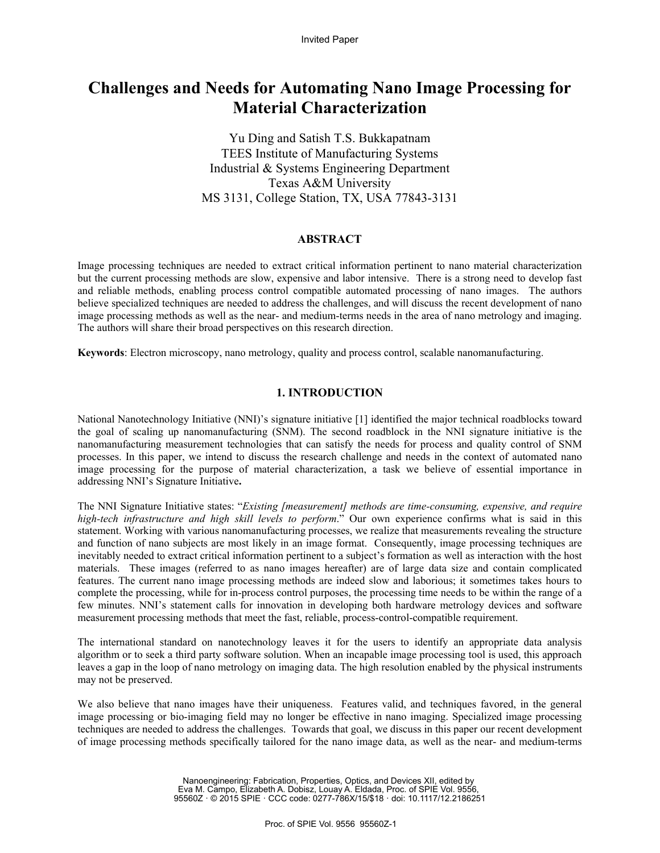# **Challenges and Needs for Automating Nano Image Processing for Material Characterization**

Yu Ding and Satish T.S. Bukkapatnam TEES Institute of Manufacturing Systems Industrial & Systems Engineering Department Texas A&M University MS 3131, College Station, TX, USA 77843-3131

## **ABSTRACT**

Image processing techniques are needed to extract critical information pertinent to nano material characterization but the current processing methods are slow, expensive and labor intensive. There is a strong need to develop fast and reliable methods, enabling process control compatible automated processing of nano images. The authors believe specialized techniques are needed to address the challenges, and will discuss the recent development of nano image processing methods as well as the near- and medium-terms needs in the area of nano metrology and imaging. The authors will share their broad perspectives on this research direction.

**Keywords**: Electron microscopy, nano metrology, quality and process control, scalable nanomanufacturing.

#### **1. INTRODUCTION**

National Nanotechnology Initiative (NNI)'s signature initiative [1] identified the major technical roadblocks toward the goal of scaling up nanomanufacturing (SNM). The second roadblock in the NNI signature initiative is the nanomanufacturing measurement technologies that can satisfy the needs for process and quality control of SNM processes. In this paper, we intend to discuss the research challenge and needs in the context of automated nano image processing for the purpose of material characterization, a task we believe of essential importance in addressing NNI's Signature Initiative**.** 

The NNI Signature Initiative states: "*Existing [measurement] methods are time-consuming, expensive, and require high-tech infrastructure and high skill levels to perform*." Our own experience confirms what is said in this statement. Working with various nanomanufacturing processes, we realize that measurements revealing the structure and function of nano subjects are most likely in an image format. Consequently, image processing techniques are inevitably needed to extract critical information pertinent to a subject's formation as well as interaction with the host materials. These images (referred to as nano images hereafter) are of large data size and contain complicated features. The current nano image processing methods are indeed slow and laborious; it sometimes takes hours to complete the processing, while for in-process control purposes, the processing time needs to be within the range of a few minutes. NNI's statement calls for innovation in developing both hardware metrology devices and software measurement processing methods that meet the fast, reliable, process-control-compatible requirement.

The international standard on nanotechnology leaves it for the users to identify an appropriate data analysis algorithm or to seek a third party software solution. When an incapable image processing tool is used, this approach leaves a gap in the loop of nano metrology on imaging data. The high resolution enabled by the physical instruments may not be preserved.

We also believe that nano images have their uniqueness. Features valid, and techniques favored, in the general image processing or bio-imaging field may no longer be effective in nano imaging. Specialized image processing techniques are needed to address the challenges. Towards that goal, we discuss in this paper our recent development of image processing methods specifically tailored for the nano image data, as well as the near- and medium-terms

> Nanoengineering: Fabrication, Properties, Optics, and Devices XII, edited by Eva M. Campo, Elizabeth A. Dobisz, Louay A. Eldada, Proc. of SPIE Vol. 9556, 95560Z · © 2015 SPIE · CCC code: 0277-786X/15/\$18 · doi: 10.1117/12.2186251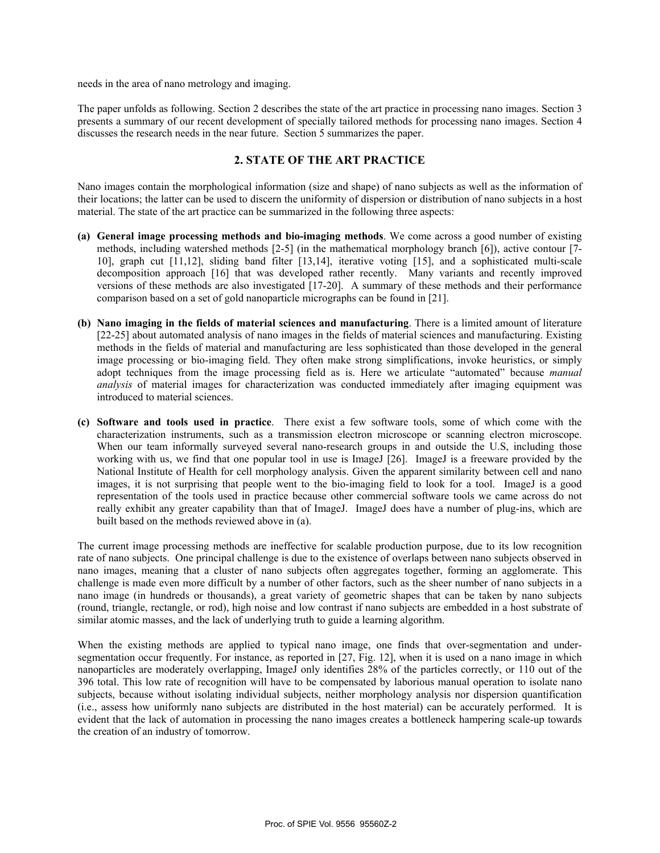needs in the area of nano metrology and imaging.

The paper unfolds as following. Section 2 describes the state of the art practice in processing nano images. Section 3 presents a summary of our recent development of specially tailored methods for processing nano images. Section 4 discusses the research needs in the near future. Section 5 summarizes the paper.

# **2. STATE OF THE ART PRACTICE**

Nano images contain the morphological information (size and shape) of nano subjects as well as the information of their locations; the latter can be used to discern the uniformity of dispersion or distribution of nano subjects in a host material. The state of the art practice can be summarized in the following three aspects:

- **(a) General image processing methods and bio-imaging methods**. We come across a good number of existing methods, including watershed methods [2-5] (in the mathematical morphology branch [6]), active contour [7- 10], graph cut [11,12], sliding band filter [13,14], iterative voting [15], and a sophisticated multi-scale decomposition approach [16] that was developed rather recently. Many variants and recently improved versions of these methods are also investigated [17-20]. A summary of these methods and their performance comparison based on a set of gold nanoparticle micrographs can be found in [21].
- **(b) Nano imaging in the fields of material sciences and manufacturing**. There is a limited amount of literature [22-25] about automated analysis of nano images in the fields of material sciences and manufacturing. Existing methods in the fields of material and manufacturing are less sophisticated than those developed in the general image processing or bio-imaging field. They often make strong simplifications, invoke heuristics, or simply adopt techniques from the image processing field as is. Here we articulate "automated" because *manual analysis* of material images for characterization was conducted immediately after imaging equipment was introduced to material sciences.
- **(c) Software and tools used in practice**. There exist a few software tools, some of which come with the characterization instruments, such as a transmission electron microscope or scanning electron microscope. When our team informally surveyed several nano-research groups in and outside the U.S, including those working with us, we find that one popular tool in use is ImageJ [26]. ImageJ is a freeware provided by the National Institute of Health for cell morphology analysis. Given the apparent similarity between cell and nano images, it is not surprising that people went to the bio-imaging field to look for a tool. ImageJ is a good representation of the tools used in practice because other commercial software tools we came across do not really exhibit any greater capability than that of ImageJ. ImageJ does have a number of plug-ins, which are built based on the methods reviewed above in (a).

The current image processing methods are ineffective for scalable production purpose, due to its low recognition rate of nano subjects. One principal challenge is due to the existence of overlaps between nano subjects observed in nano images, meaning that a cluster of nano subjects often aggregates together, forming an agglomerate. This challenge is made even more difficult by a number of other factors, such as the sheer number of nano subjects in a nano image (in hundreds or thousands), a great variety of geometric shapes that can be taken by nano subjects (round, triangle, rectangle, or rod), high noise and low contrast if nano subjects are embedded in a host substrate of similar atomic masses, and the lack of underlying truth to guide a learning algorithm.

When the existing methods are applied to typical nano image, one finds that over-segmentation and undersegmentation occur frequently. For instance, as reported in [27, Fig. 12], when it is used on a nano image in which nanoparticles are moderately overlapping, ImageJ only identifies 28% of the particles correctly, or 110 out of the 396 total. This low rate of recognition will have to be compensated by laborious manual operation to isolate nano subjects, because without isolating individual subjects, neither morphology analysis nor dispersion quantification (i.e., assess how uniformly nano subjects are distributed in the host material) can be accurately performed. It is evident that the lack of automation in processing the nano images creates a bottleneck hampering scale-up towards the creation of an industry of tomorrow.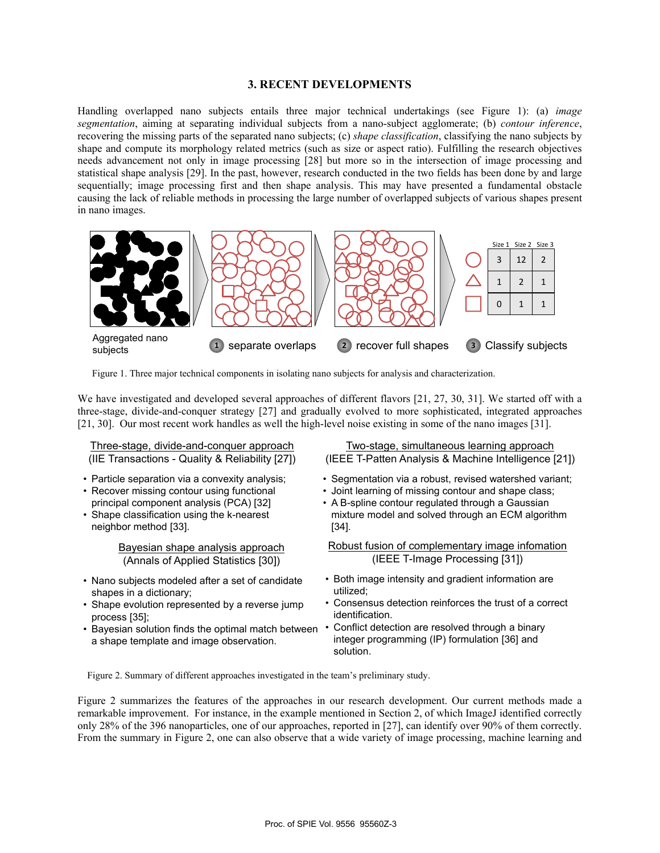#### **3. RECENT DEVELOPMENTS**

Handling overlapped nano subjects entails three major technical undertakings (see Figure 1): (a) *image segmentation*, aiming at separating individual subjects from a nano-subject agglomerate; (b) *contour inference*, recovering the missing parts of the separated nano subjects; (c) *shape classification*, classifying the nano subjects by shape and compute its morphology related metrics (such as size or aspect ratio). Fulfilling the research objectives needs advancement not only in image processing [28] but more so in the intersection of image processing and statistical shape analysis [29]. In the past, however, research conducted in the two fields has been done by and large sequentially; image processing first and then shape analysis. This may have presented a fundamental obstacle causing the lack of reliable methods in processing the large number of overlapped subjects of various shapes present in nano images.



Figure 1. Three major technical components in isolating nano subjects for analysis and characterization.

We have investigated and developed several approaches of different flavors [21, 27, 30, 31]. We started off with a three-stage, divide-and-conquer strategy [27] and gradually evolved to more sophisticated, integrated approaches [21, 30]. Our most recent work handles as well the high-level noise existing in some of the nano images [31].

| Three-stage, divide-and-conquer approach            | Two-stage, simultaneous learning approach               |
|-----------------------------------------------------|---------------------------------------------------------|
| (IIE Transactions - Quality & Reliability [27])     | (IEEE T-Patten Analysis & Machine Intelligence [21])    |
| • Particle separation via a convexity analysis;     | • Segmentation via a robust, revised watershed variant; |
| • Recover missing contour using functional          | • Joint learning of missing contour and shape class;    |
| principal component analysis (PCA) [32]             | • A B-spline contour regulated through a Gaussian       |
| • Shape classification using the k-nearest          | mixture model and solved through an ECM algorithm       |
| neighbor method [33].                               | [34].                                                   |
| <b>Bayesian shape analysis approach</b>             | Robust fusion of complementary image infomation         |
| (Annals of Applied Statistics [30])                 | (IEEE T-Image Processing [31])                          |
| • Nano subjects modeled after a set of candidate    | • Both image intensity and gradient information are     |
| shapes in a dictionary;                             | utilized:                                               |
| • Shape evolution represented by a reverse jump     | • Consensus detection reinforces the trust of a correct |
| process $[35]$ ;                                    | identification.                                         |
| • Bayesian solution finds the optimal match between | • Conflict detection are resolved through a binary      |
| a shape template and image observation.             | integer programming (IP) formulation [36] and           |

Figure 2. Summary of different approaches investigated in the team's preliminary study.

Figure 2 summarizes the features of the approaches in our research development. Our current methods made a remarkable improvement. For instance, in the example mentioned in Section 2, of which ImageJ identified correctly only 28% of the 396 nanoparticles, one of our approaches, reported in [27], can identify over 90% of them correctly. From the summary in Figure 2, one can also observe that a wide variety of image processing, machine learning and

solution.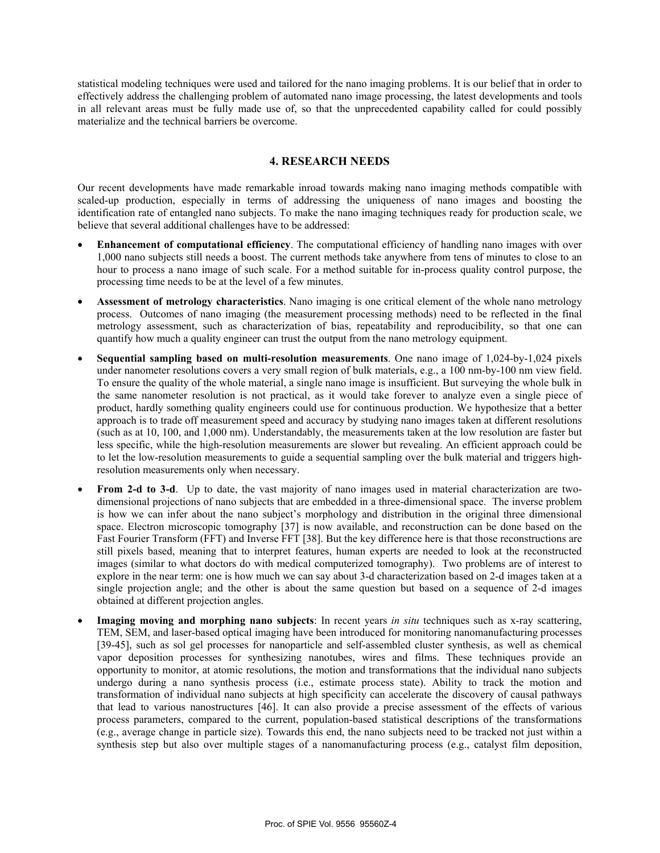statistical modeling techniques were used and tailored for the nano imaging problems. It is our belief that in order to effectively address the challenging problem of automated nano image processing, the latest developments and tools in all relevant areas must be fully made use of, so that the unprecedented capability called for could possibly materialize and the technical barriers be overcome.

# **4. RESEARCH NEEDS**

Our recent developments have made remarkable inroad towards making nano imaging methods compatible with scaled-up production, especially in terms of addressing the uniqueness of nano images and boosting the identification rate of entangled nano subjects. To make the nano imaging techniques ready for production scale, we believe that several additional challenges have to be addressed:

- **Enhancement of computational efficiency**. The computational efficiency of handling nano images with over 1,000 nano subjects still needs a boost. The current methods take anywhere from tens of minutes to close to an hour to process a nano image of such scale. For a method suitable for in-process quality control purpose, the processing time needs to be at the level of a few minutes.
- **Assessment of metrology characteristics**. Nano imaging is one critical element of the whole nano metrology process. Outcomes of nano imaging (the measurement processing methods) need to be reflected in the final metrology assessment, such as characterization of bias, repeatability and reproducibility, so that one can quantify how much a quality engineer can trust the output from the nano metrology equipment.
- **Sequential sampling based on multi-resolution measurements**. One nano image of 1,024-by-1,024 pixels under nanometer resolutions covers a very small region of bulk materials, e.g., a 100 nm-by-100 nm view field. To ensure the quality of the whole material, a single nano image is insufficient. But surveying the whole bulk in the same nanometer resolution is not practical, as it would take forever to analyze even a single piece of product, hardly something quality engineers could use for continuous production. We hypothesize that a better approach is to trade off measurement speed and accuracy by studying nano images taken at different resolutions (such as at 10, 100, and 1,000 nm). Understandably, the measurements taken at the low resolution are faster but less specific, while the high-resolution measurements are slower but revealing. An efficient approach could be to let the low-resolution measurements to guide a sequential sampling over the bulk material and triggers highresolution measurements only when necessary.
- **From 2-d to 3-d**. Up to date, the vast majority of nano images used in material characterization are twodimensional projections of nano subjects that are embedded in a three-dimensional space. The inverse problem is how we can infer about the nano subject's morphology and distribution in the original three dimensional space. Electron microscopic tomography [37] is now available, and reconstruction can be done based on the Fast Fourier Transform (FFT) and Inverse FFT [38]. But the key difference here is that those reconstructions are still pixels based, meaning that to interpret features, human experts are needed to look at the reconstructed images (similar to what doctors do with medical computerized tomography). Two problems are of interest to explore in the near term: one is how much we can say about 3-d characterization based on 2-d images taken at a single projection angle; and the other is about the same question but based on a sequence of 2-d images obtained at different projection angles.
- **Imaging moving and morphing nano subjects**: In recent years *in situ* techniques such as x-ray scattering, TEM, SEM, and laser-based optical imaging have been introduced for monitoring nanomanufacturing processes [39-45], such as sol gel processes for nanoparticle and self-assembled cluster synthesis, as well as chemical vapor deposition processes for synthesizing nanotubes, wires and films. These techniques provide an opportunity to monitor, at atomic resolutions, the motion and transformations that the individual nano subjects undergo during a nano synthesis process (i.e., estimate process state). Ability to track the motion and transformation of individual nano subjects at high specificity can accelerate the discovery of causal pathways that lead to various nanostructures [46]. It can also provide a precise assessment of the effects of various process parameters, compared to the current, population-based statistical descriptions of the transformations (e.g., average change in particle size). Towards this end, the nano subjects need to be tracked not just within a synthesis step but also over multiple stages of a nanomanufacturing process (e.g., catalyst film deposition,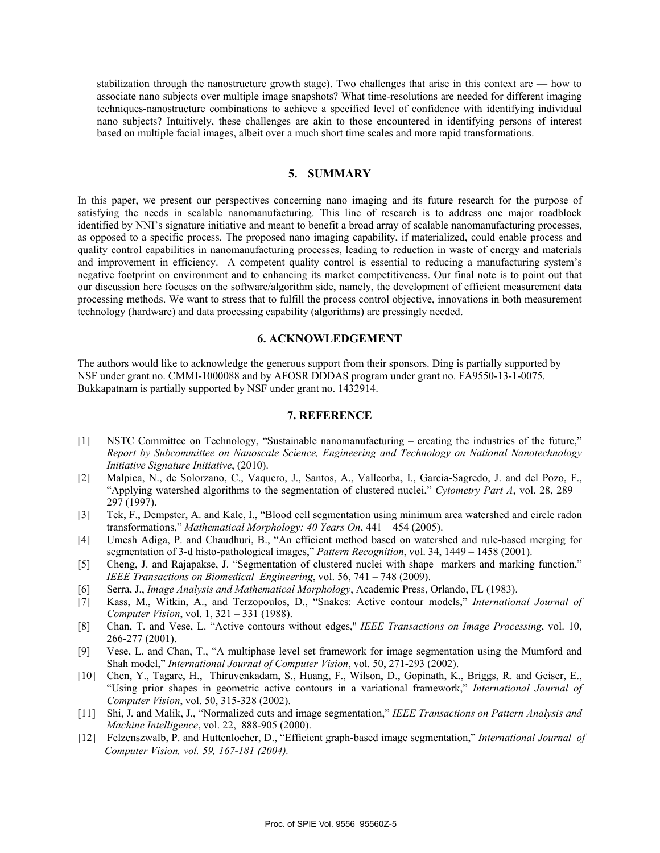stabilization through the nanostructure growth stage). Two challenges that arise in this context are — how to associate nano subjects over multiple image snapshots? What time-resolutions are needed for different imaging techniques-nanostructure combinations to achieve a specified level of confidence with identifying individual nano subjects? Intuitively, these challenges are akin to those encountered in identifying persons of interest based on multiple facial images, albeit over a much short time scales and more rapid transformations.

#### **5. SUMMARY**

In this paper, we present our perspectives concerning nano imaging and its future research for the purpose of satisfying the needs in scalable nanomanufacturing. This line of research is to address one major roadblock identified by NNI's signature initiative and meant to benefit a broad array of scalable nanomanufacturing processes, as opposed to a specific process. The proposed nano imaging capability, if materialized, could enable process and quality control capabilities in nanomanufacturing processes, leading to reduction in waste of energy and materials and improvement in efficiency. A competent quality control is essential to reducing a manufacturing system's negative footprint on environment and to enhancing its market competitiveness. Our final note is to point out that our discussion here focuses on the software/algorithm side, namely, the development of efficient measurement data processing methods. We want to stress that to fulfill the process control objective, innovations in both measurement technology (hardware) and data processing capability (algorithms) are pressingly needed.

#### **6. ACKNOWLEDGEMENT**

The authors would like to acknowledge the generous support from their sponsors. Ding is partially supported by NSF under grant no. CMMI-1000088 and by AFOSR DDDAS program under grant no. FA9550-13-1-0075. Bukkapatnam is partially supported by NSF under grant no. 1432914.

## **7. REFERENCE**

- [1] NSTC Committee on Technology, "Sustainable nanomanufacturing creating the industries of the future," *Report by Subcommittee on Nanoscale Science, Engineering and Technology on National Nanotechnology Initiative Signature Initiative*, (2010).
- [2] Malpica, N., de Solorzano, C., Vaquero, J., Santos, A., Vallcorba, I., Garcia-Sagredo, J. and del Pozo, F., "Applying watershed algorithms to the segmentation of clustered nuclei," *Cytometry Part A*, vol. 28, 289 – 297 (1997).
- [3] Tek, F., Dempster, A. and Kale, I., "Blood cell segmentation using minimum area watershed and circle radon transformations," *Mathematical Morphology: 40 Years On*, 441 – 454 (2005).
- [4] Umesh Adiga, P. and Chaudhuri, B., "An efficient method based on watershed and rule-based merging for segmentation of 3-d histo-pathological images," *Pattern Recognition*, vol. 34, 1449 – 1458 (2001).
- [5] Cheng, J. and Rajapakse, J. "Segmentation of clustered nuclei with shape markers and marking function," *IEEE Transactions on Biomedical Engineering*, vol. 56, 741 – 748 (2009).
- [6] Serra, J., *Image Analysis and Mathematical Morphology*, Academic Press, Orlando, FL (1983).
- [7] Kass, M., Witkin, A., and Terzopoulos, D., "Snakes: Active contour models," *International Journal of Computer Vision*, vol. 1, 321 – 331 (1988).
- [8] Chan, T. and Vese, L. "Active contours without edges,'' *IEEE Transactions on Image Processing*, vol. 10, 266-277 (2001).
- [9] Vese, L. and Chan, T., "A multiphase level set framework for image segmentation using the Mumford and Shah model," *International Journal of Computer Vision*, vol. 50, 271-293 (2002).
- [10] Chen, Y., Tagare, H., Thiruvenkadam, S., Huang, F., Wilson, D., Gopinath, K., Briggs, R. and Geiser, E., "Using prior shapes in geometric active contours in a variational framework," *International Journal of Computer Vision*, vol. 50, 315-328 (2002).
- [11] Shi, J. and Malik, J., "Normalized cuts and image segmentation," *IEEE Transactions on Pattern Analysis and Machine Intelligence*, vol. 22, 888-905 (2000).
- [12] Felzenszwalb, P. and Huttenlocher, D., "Efficient graph-based image segmentation," *International Journal of Computer Vision, vol. 59, 167-181 (2004).*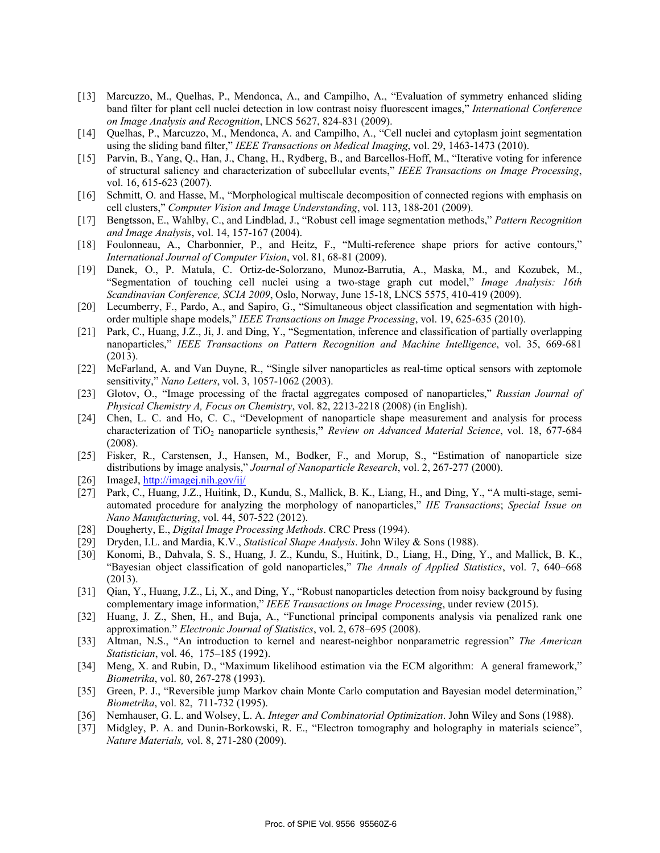- [13] Marcuzzo, M., Quelhas, P., Mendonca, A., and Campilho, A., "Evaluation of symmetry enhanced sliding band filter for plant cell nuclei detection in low contrast noisy fluorescent images," *International Conference on Image Analysis and Recognition*, LNCS 5627, 824-831 (2009).
- [14] Quelhas, P., Marcuzzo, M., Mendonca, A. and Campilho, A., "Cell nuclei and cytoplasm joint segmentation using the sliding band filter," *IEEE Transactions on Medical Imaging*, vol. 29, 1463-1473 (2010).
- [15] Parvin, B., Yang, Q., Han, J., Chang, H., Rydberg, B., and Barcellos-Hoff, M., "Iterative voting for inference of structural saliency and characterization of subcellular events," *IEEE Transactions on Image Processing*, vol. 16, 615-623 (2007).
- [16] Schmitt, O. and Hasse, M., "Morphological multiscale decomposition of connected regions with emphasis on cell clusters," *Computer Vision and Image Understanding*, vol. 113, 188-201 (2009).
- [17] Bengtsson, E., Wahlby, C., and Lindblad, J., "Robust cell image segmentation methods," *Pattern Recognition and Image Analysis*, vol. 14, 157-167 (2004).
- [18] Foulonneau, A., Charbonnier, P., and Heitz, F., "Multi-reference shape priors for active contours," *International Journal of Computer Vision*, vol. 81, 68-81 (2009).
- [19] Danek, O., P. Matula, C. Ortiz-de-Solorzano, Munoz-Barrutia, A., Maska, M., and Kozubek, M., "Segmentation of touching cell nuclei using a two-stage graph cut model," *Image Analysis: 16th Scandinavian Conference, SCIA 2009*, Oslo, Norway, June 15-18, LNCS 5575, 410-419 (2009).
- [20] Lecumberry, F., Pardo, A., and Sapiro, G., "Simultaneous object classification and segmentation with highorder multiple shape models," *IEEE Transactions on Image Processing*, vol. 19, 625-635 (2010).
- [21] Park, C., Huang, J.Z., Ji, J. and Ding, Y., "Segmentation, inference and classification of partially overlapping nanoparticles," *IEEE Transactions on Pattern Recognition and Machine Intelligence*, vol. 35, 669-681 (2013).
- [22] McFarland, A. and Van Duyne, R., "Single silver nanoparticles as real-time optical sensors with zeptomole sensitivity," *Nano Letters*, vol. 3, 1057-1062 (2003).
- [23] Glotov, O., "Image processing of the fractal aggregates composed of nanoparticles," *Russian Journal of Physical Chemistry A, Focus on Chemistry*, vol. 82, 2213-2218 (2008) (in English).
- [24] Chen, L. C. and Ho, C. C., "Development of nanoparticle shape measurement and analysis for process characterization of TiO<sub>2</sub> nanoparticle synthesis," *Review on Advanced Material Science*, vol. 18, 677-684 (2008).
- [25] Fisker, R., Carstensen, J., Hansen, M., Bodker, F., and Morup, S., "Estimation of nanoparticle size distributions by image analysis," *Journal of Nanoparticle Research*, vol. 2, 267-277 (2000).
- [26] ImageJ, http://imagej.nih.gov/ij/
- [27] Park, C., Huang, J.Z., Huitink, D., Kundu, S., Mallick, B. K., Liang, H., and Ding, Y., "A multi-stage, semiautomated procedure for analyzing the morphology of nanoparticles," *IIE Transactions*; *Special Issue on Nano Manufacturing*, vol. 44, 507-522 (2012).
- [28] Dougherty, E., *Digital Image Processing Methods*. CRC Press (1994).
- [29] Dryden, I.L. and Mardia, K.V., *Statistical Shape Analysis*. John Wiley & Sons (1988).
- [30] Konomi, B., Dahvala, S. S., Huang, J. Z., Kundu, S., Huitink, D., Liang, H., Ding, Y., and Mallick, B. K., "Bayesian object classification of gold nanoparticles," *The Annals of Applied Statistics*, vol. 7, 640–668 (2013).
- [31] Qian, Y., Huang, J.Z., Li, X., and Ding, Y., "Robust nanoparticles detection from noisy background by fusing complementary image information," *IEEE Transactions on Image Processing*, under review (2015).
- [32] Huang, J. Z., Shen, H., and Buja, A., "Functional principal components analysis via penalized rank one approximation." *Electronic Journal of Statistics*, vol. 2, 678–695 (2008).
- [33] Altman, N.S., "An introduction to kernel and nearest-neighbor nonparametric regression" *The American Statistician*, vol. 46, 175–185 (1992).
- [34] Meng, X. and Rubin, D., "Maximum likelihood estimation via the ECM algorithm: A general framework," *Biometrika*, vol. 80, 267-278 (1993).
- [35] Green, P. J., "Reversible jump Markov chain Monte Carlo computation and Bayesian model determination," *Biometrika*, vol. 82, 711-732 (1995).
- [36] Nemhauser, G. L. and Wolsey, L. A. *Integer and Combinatorial Optimization*. John Wiley and Sons (1988).
- [37] Midgley, P. A. and Dunin-Borkowski, R. E., "Electron tomography and holography in materials science", *Nature Materials,* vol. 8, 271-280 (2009).